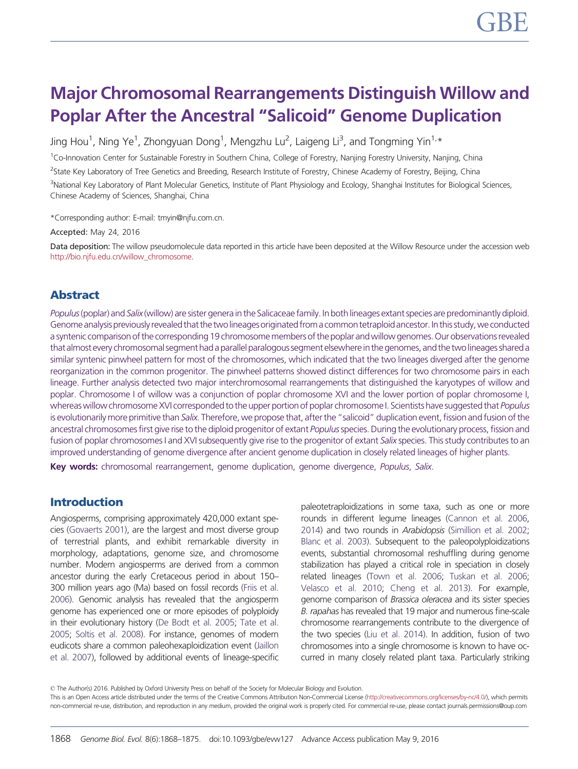# Major Chromosomal Rearrangements Distinguish Willow and Poplar After the Ancestral "Salicoid" Genome Duplication

Jing Hou<sup>1</sup>, Ning Ye<sup>1</sup>, Zhongyuan Dong<sup>1</sup>, Mengzhu Lu<sup>2</sup>, Laigeng Li<sup>3</sup>, and Tongming Yin<sup>1,</sup>\*

<sup>1</sup>Co-Innovation Center for Sustainable Forestry in Southern China, College of Forestry, Nanjing Forestry University, Nanjing, China <sup>2</sup>State Key Laboratory of Tree Genetics and Breeding, Research Institute of Forestry, Chinese Academy of Forestry, Beijing, China <sup>3</sup>National Key Laboratory of Plant Molecular Genetics, Institute of Plant Physiology and Ecology, Shanghai Institutes for Biological Sciences, Chinese Academy of Sciences, Shanghai, China

\*Corresponding author: E-mail: tmyin@njfu.com.cn.

Accepted: May 24, 2016

Data deposition: The willow pseudomolecule data reported in this article have been deposited at the Willow Resource under the accession web [http://bio.njfu.edu.cn/willow\\_chromosome](http://bio.njfu.edu.cn/willow_chromosome).

# Abstract

Populus (poplar) and Salix (willow) are sister genera in the Salicaceae family. In both lineages extant species are predominantly diploid. Genome analysis previously revealed that the two lineages originated from a common tetraploid ancestor. In this study, we conducted a syntenic comparison of the corresponding 19 chromosome members of the poplar and willow genomes. Our observations revealed that almost every chromosomal segment had a parallel paralogous segment elsewhere in the genomes, and the two lineages shared a similar syntenic pinwheel pattern for most of the chromosomes, which indicated that the two lineages diverged after the genome reorganization in the common progenitor. The pinwheel patterns showed distinct differences for two chromosome pairs in each lineage. Further analysis detected two major interchromosomal rearrangements that distinguished the karyotypes of willow and poplar. Chromosome I of willow was a conjunction of poplar chromosome XVI and the lower portion of poplar chromosome I, whereas willow chromosome XVI corresponded to the upper portion of poplar chromosome I. Scientists have suggested that Populus is evolutionarily more primitive than Salix. Therefore, we propose that, after the "salicoid" duplication event, fission and fusion of the ancestral chromosomes first give rise to the diploid progenitor of extant Populus species. During the evolutionary process, fission and fusion of poplar chromosomes I and XVI subsequently give rise to the progenitor of extant Salix species. This study contributes to an improved understanding of genome divergence after ancient genome duplication in closely related lineages of higher plants.

Key words: chromosomal rearrangement, genome duplication, genome divergence, Populus, Salix.

# Introduction

Angiosperms, comprising approximately 420,000 extant species [\(Govaerts 2001](#page-7-0)), are the largest and most diverse group of terrestrial plants, and exhibit remarkable diversity in morphology, adaptations, genome size, and chromosome number. Modern angiosperms are derived from a common ancestor during the early Cretaceous period in about 150– 300 million years ago (Ma) based on fossil records [\(Friis et al.](#page-7-0) [2006\)](#page-7-0). Genomic analysis has revealed that the angiosperm genome has experienced one or more episodes of polyploidy in their evolutionary history [\(De Bodt et al. 2005;](#page-7-0) [Tate et al.](#page-7-0) [2005;](#page-7-0) [Soltis et al. 2008](#page-7-0)). For instance, genomes of modern eudicots share a common paleohexaploidization event ([Jaillon](#page-7-0) [et al. 2007](#page-7-0)), followed by additional events of lineage-specific

paleotetraploidizations in some taxa, such as one or more rounds in different legume lineages [\(Cannon et al. 2006](#page-7-0), [2014](#page-7-0)) and two rounds in Arabidopsis ([Simillion et al. 2002](#page-7-0); [Blanc et al. 2003\)](#page-7-0). Subsequent to the paleopolyploidizations events, substantial chromosomal reshuffling during genome stabilization has played a critical role in speciation in closely related lineages [\(Town et al. 2006](#page-7-0); [Tuskan et al. 2006](#page-7-0); [Velasco et al. 2010;](#page-7-0) [Cheng et al. 2013](#page-7-0)). For example, genome comparison of Brassica oleracea and its sister species B. rapahas has revealed that 19 major and numerous fine-scale chromosome rearrangements contribute to the divergence of the two species [\(Liu et al. 2014](#page-7-0)). In addition, fusion of two chromosomes into a single chromosome is known to have occurred in many closely related plant taxa. Particularly striking

© The Author(s) 2016. Published by Oxford University Press on behalf of the Society for Molecular Biology and Evolution. This is an Open Access article distributed under the terms of the Creative Commons Attribution Non-Commercial License [\(http://creativecommons.org/licenses/by-nc/4.0/](http://creativecommons.org/licenses/by-nc/4.0/)), which permits non-commercial re-use, distribution, and reproduction in any medium, provided the original work is properly cited. For commercial re-use, please contact journals.permissions@oup.com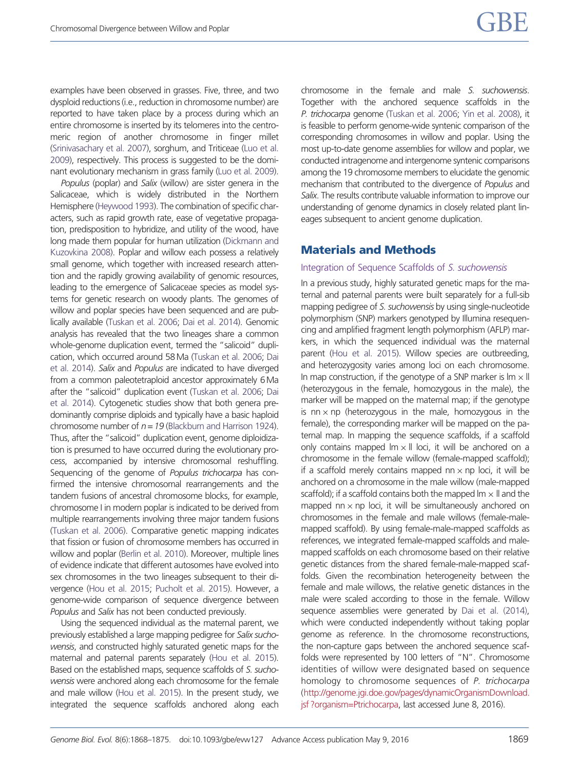examples have been observed in grasses. Five, three, and two dysploid reductions (i.e., reduction in chromosome number) are reported to have taken place by a process during which an entire chromosome is inserted by its telomeres into the centromeric region of another chromosome in finger millet [\(Srinivasachary et al. 2007](#page-7-0)), sorghum, and Triticeae [\(Luo et al.](#page-7-0) [2009\)](#page-7-0), respectively. This process is suggested to be the dominant evolutionary mechanism in grass family [\(Luo et al. 2009](#page-7-0)).

Populus (poplar) and Salix (willow) are sister genera in the Salicaceae, which is widely distributed in the Northern Hemisphere ([Heywood 1993](#page-7-0)). The combination of specific characters, such as rapid growth rate, ease of vegetative propagation, predisposition to hybridize, and utility of the wood, have long made them popular for human utilization [\(Dickmann and](#page-7-0) [Kuzovkina 2008\)](#page-7-0). Poplar and willow each possess a relatively small genome, which together with increased research attention and the rapidly growing availability of genomic resources, leading to the emergence of Salicaceae species as model systems for genetic research on woody plants. The genomes of willow and poplar species have been sequenced and are publically available ([Tuskan et al. 2006;](#page-7-0) [Dai et al. 2014](#page-7-0)). Genomic analysis has revealed that the two lineages share a common whole-genome duplication event, termed the "salicoid" duplication, which occurred around 58Ma [\(Tuskan et al. 2006;](#page-7-0) [Dai](#page-7-0) [et al. 2014\)](#page-7-0). Salix and Populus are indicated to have diverged from a common paleotetraploid ancestor approximately 6Ma after the "salicoid" duplication event [\(Tuskan et al. 2006](#page-7-0); [Dai](#page-7-0) [et al. 2014](#page-7-0)). Cytogenetic studies show that both genera predominantly comprise diploids and typically have a basic haploid chromosome number of  $n = 19$  [\(Blackburn and Harrison 1924](#page-7-0)). Thus, after the "salicoid" duplication event, genome diploidization is presumed to have occurred during the evolutionary process, accompanied by intensive chromosomal reshuffling. Sequencing of the genome of Populus trichocarpa has confirmed the intensive chromosomal rearrangements and the tandem fusions of ancestral chromosome blocks, for example, chromosome I in modern poplar is indicated to be derived from multiple rearrangements involving three major tandem fusions [\(Tuskan et al. 2006\)](#page-7-0). Comparative genetic mapping indicates that fission or fusion of chromosome members has occurred in willow and poplar [\(Berlin et al. 2010](#page-7-0)). Moreover, multiple lines of evidence indicate that different autosomes have evolved into sex chromosomes in the two lineages subsequent to their divergence [\(Hou et al. 2015](#page-7-0); [Pucholt et al. 2015\)](#page-7-0). However, a genome-wide comparison of sequence divergence between Populus and Salix has not been conducted previously.

Using the sequenced individual as the maternal parent, we previously established a large mapping pedigree for Salix suchowensis, and constructed highly saturated genetic maps for the maternal and paternal parents separately [\(Hou et al. 2015](#page-7-0)). Based on the established maps, sequence scaffolds of S. suchowensis were anchored along each chromosome for the female and male willow [\(Hou et al. 2015\)](#page-7-0). In the present study, we integrated the sequence scaffolds anchored along each chromosome in the female and male S. suchowensis. Together with the anchored sequence scaffolds in the P. trichocarpa genome [\(Tuskan et al. 2006](#page-7-0); [Yin et al. 2008](#page-7-0)), it is feasible to perform genome-wide syntenic comparison of the corresponding chromosomes in willow and poplar. Using the most up-to-date genome assemblies for willow and poplar, we conducted intragenome and intergenome syntenic comparisons among the 19 chromosome members to elucidate the genomic mechanism that contributed to the divergence of Populus and Salix. The results contribute valuable information to improve our understanding of genome dynamics in closely related plant lineages subsequent to ancient genome duplication.

### Materials and Methods

#### Integration of Sequence Scaffolds of S. suchowensis

In a previous study, highly saturated genetic maps for the maternal and paternal parents were built separately for a full-sib mapping pedigree of S. suchowensis by using single-nucleotide polymorphism (SNP) markers genotyped by Illumina resequencing and amplified fragment length polymorphism (AFLP) markers, in which the sequenced individual was the maternal parent [\(Hou et al. 2015\)](#page-7-0). Willow species are outbreeding, and heterozygosity varies among loci on each chromosome. In map construction, if the genotype of a SNP marker is  $Im \times II$ (heterozygous in the female, homozygous in the male), the marker will be mapped on the maternal map; if the genotype is nn  $\times$  np (heterozygous in the male, homozygous in the female), the corresponding marker will be mapped on the paternal map. In mapping the sequence scaffolds, if a scaffold only contains mapped  $\text{Im} \times \text{II}$  loci, it will be anchored on a chromosome in the female willow (female-mapped scaffold); if a scaffold merely contains mapped nn  $\times$  np loci, it will be anchored on a chromosome in the male willow (male-mapped scaffold); if a scaffold contains both the mapped  $\mathsf{Im}\times\mathsf{II}$  and the mapped nn  $\times$  np loci, it will be simultaneously anchored on chromosomes in the female and male willows (female-malemapped scaffold). By using female-male-mapped scaffolds as references, we integrated female-mapped scaffolds and malemapped scaffolds on each chromosome based on their relative genetic distances from the shared female-male-mapped scaffolds. Given the recombination heterogeneity between the female and male willows, the relative genetic distances in the male were scaled according to those in the female. Willow sequence assemblies were generated by [Dai et al. \(2014\)](#page-7-0), which were conducted independently without taking poplar genome as reference. In the chromosome reconstructions, the non-capture gaps between the anchored sequence scaffolds were represented by 100 letters of "N". Chromosome identities of willow were designated based on sequence homology to chromosome sequences of P. trichocarpa ([http://genome.jgi.doe.gov/pages/dynamicOrganismDownload.](http://genome.jgi.doe.gov/pages/dynamicOrganismDownload.jsf?organism=Ptrichocarpa) [jsf?organism=Ptrichocarpa,](http://genome.jgi.doe.gov/pages/dynamicOrganismDownload.jsf?organism=Ptrichocarpa) last accessed June 8, 2016).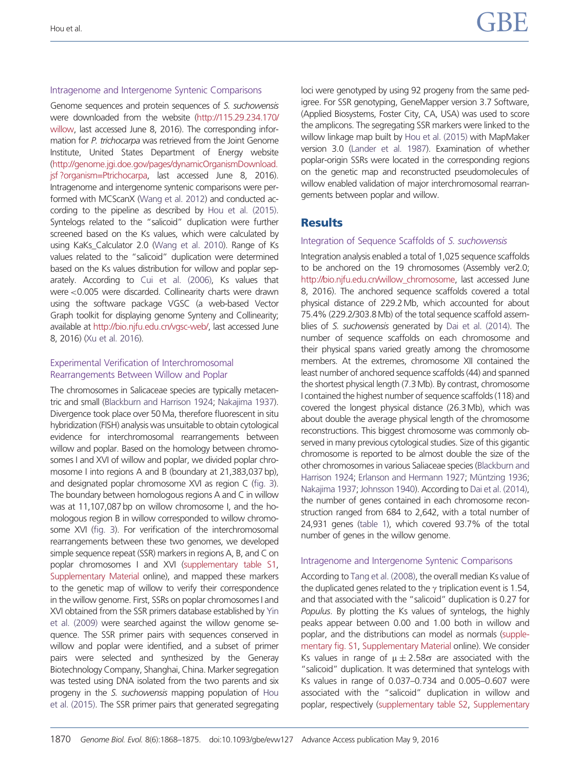#### Intragenome and Intergenome Syntenic Comparisons

Genome sequences and protein sequences of S. suchowensis were downloaded from the website [\(http://115.29.234.170/](http://115.29.234.170/willow) [willow](http://115.29.234.170/willow), last accessed June 8, 2016). The corresponding information for P. trichocarpa was retrieved from the Joint Genome Institute, United States Department of Energy website [\(http://genome.jgi.doe.gov/pages/dynamicOrganismDownload.](http://genome.jgi.doe.gov/pages/dynamicOrganismDownload.jsf?organism=Ptrichocarpa) [jsf?organism=Ptrichocarpa,](http://genome.jgi.doe.gov/pages/dynamicOrganismDownload.jsf?organism=Ptrichocarpa) last accessed June 8, 2016). Intragenome and intergenome syntenic comparisons were performed with MCScanX [\(Wang et al. 2012](#page-7-0)) and conducted according to the pipeline as described by [Hou et al. \(2015\).](#page-7-0) Syntelogs related to the "salicoid" duplication were further screened based on the Ks values, which were calculated by using KaKs\_Calculator 2.0 [\(Wang et al. 2010\)](#page-7-0). Range of Ks values related to the "salicoid" duplication were determined based on the Ks values distribution for willow and poplar separately. According to [Cui et al. \(2006\),](#page-7-0) Ks values that were<0.005 were discarded. Collinearity charts were drawn using the software package VGSC (a web-based Vector Graph toolkit for displaying genome Synteny and Collinearity; available at [http://bio.njfu.edu.cn/vgsc-web/,](http://bio.njfu.edu.cn/vgsc-web/) last accessed June 8, 2016) [\(Xu et al. 2016](#page-7-0)).

#### Experimental Verification of Interchromosomal Rearrangements Between Willow and Poplar

The chromosomes in Salicaceae species are typically metacentric and small [\(Blackburn and Harrison 1924](#page-7-0); [Nakajima 1937](#page-7-0)). Divergence took place over 50Ma, therefore fluorescent in situ hybridization (FISH) analysis was unsuitable to obtain cytological evidence for interchromosomal rearrangements between willow and poplar. Based on the homology between chromosomes I and XVI of willow and poplar, we divided poplar chromosome I into regions A and B (boundary at 21,383,037bp), and designated poplar chromosome XVI as region C ([fig. 3](#page-6-0)). The boundary between homologous regions A and C in willow was at 11,107,087bp on willow chromosome I, and the homologous region B in willow corresponded to willow chromosome XVI ([fig. 3](#page-6-0)). For verification of the interchromosomal rearrangements between these two genomes, we developed simple sequence repeat (SSR) markers in regions A, B, and C on poplar chromosomes I and XVI ([supplementary table S1,](http://gbe.oxfordjournals.org/lookup/suppl/doi:10.1093/gbe/evw127/-/DC1) [Supplementary Material](http://gbe.oxfordjournals.org/lookup/suppl/doi:10.1093/gbe/evw127/-/DC1) online), and mapped these markers to the genetic map of willow to verify their correspondence in the willow genome. First, SSRs on poplar chromosomes I and XVI obtained from the SSR primers database established by [Yin](#page-7-0) [et al. \(2009\)](#page-7-0) were searched against the willow genome sequence. The SSR primer pairs with sequences conserved in willow and poplar were identified, and a subset of primer pairs were selected and synthesized by the Generay Biotechnology Company, Shanghai, China. Marker segregation was tested using DNA isolated from the two parents and six progeny in the S. suchowensis mapping population of [Hou](#page-7-0) [et al. \(2015\).](#page-7-0) The SSR primer pairs that generated segregating

loci were genotyped by using 92 progeny from the same pedigree. For SSR genotyping, GeneMapper version 3.7 Software, (Applied Biosystems, Foster City, CA, USA) was used to score the amplicons. The segregating SSR markers were linked to the willow linkage map built by [Hou et al. \(2015\)](#page-7-0) with MapMaker version 3.0 [\(Lander et al. 1987](#page-7-0)). Examination of whether poplar-origin SSRs were located in the corresponding regions on the genetic map and reconstructed pseudomolecules of willow enabled validation of major interchromosomal rearrangements between poplar and willow.

# **Results**

#### Integration of Sequence Scaffolds of S. suchowensis

Integration analysis enabled a total of 1,025 sequence scaffolds to be anchored on the 19 chromosomes (Assembly ver2.0; [http://bio.njfu.edu.cn/willow\\_chromosome,](http://bio.njfu.edu.cn/willow_chromosome) last accessed June 8, 2016). The anchored sequence scaffolds covered a total physical distance of 229.2Mb, which accounted for about 75.4% (229.2/303.8Mb) of the total sequence scaffold assemblies of S. suchowensis generated by [Dai et al. \(2014\)](#page-7-0). The number of sequence scaffolds on each chromosome and their physical spans varied greatly among the chromosome members. At the extremes, chromosome XII contained the least number of anchored sequence scaffolds (44) and spanned the shortest physical length (7.3Mb). By contrast, chromosome I contained the highest number of sequence scaffolds (118) and covered the longest physical distance (26.3Mb), which was about double the average physical length of the chromosome reconstructions. This biggest chromosome was commonly observed in many previous cytological studies. Size of this gigantic chromosome is reported to be almost double the size of the other chromosomes in various Saliaceae species [\(Blackburn and](#page-7-0) [Harrison 1924](#page-7-0); [Erlanson and Hermann 1927;](#page-7-0) Müntzing 1936; [Nakajima 1937](#page-7-0); [Johnsson 1940\)](#page-7-0). According to [Dai et al. \(2014\)](#page-7-0), the number of genes contained in each chromosome reconstruction ranged from 684 to 2,642, with a total number of 24,931 genes [\(table 1\)](#page-3-0), which covered 93.7% of the total number of genes in the willow genome.

#### Intragenome and Intergenome Syntenic Comparisons

According to [Tang et al. \(2008\)](#page-7-0), the overall median Ks value of the duplicated genes related to the  $\gamma$  triplication event is 1.54, and that associated with the "salicoid" duplication is 0.27 for Populus. By plotting the Ks values of syntelogs, the highly peaks appear between 0.00 and 1.00 both in willow and poplar, and the distributions can model as normals [\(supple](http://gbe.oxfordjournals.org/lookup/suppl/doi:10.1093/gbe/evw127/-/DC1)[mentary fig. S1,](http://gbe.oxfordjournals.org/lookup/suppl/doi:10.1093/gbe/evw127/-/DC1) [Supplementary Material](http://gbe.oxfordjournals.org/lookup/suppl/doi:10.1093/gbe/evw127/-/DC1) online). We consider Ks values in range of  $\mu \pm 2.58\sigma$  are associated with the "salicoid" duplication. It was determined that syntelogs with Ks values in range of 0.037–0.734 and 0.005–0.607 were associated with the "salicoid" duplication in willow and poplar, respectively [\(supplementary table S2](http://gbe.oxfordjournals.org/lookup/suppl/doi:10.1093/gbe/evw127/-/DC1), [Supplementary](http://gbe.oxfordjournals.org/lookup/suppl/doi:10.1093/gbe/evw127/-/DC1)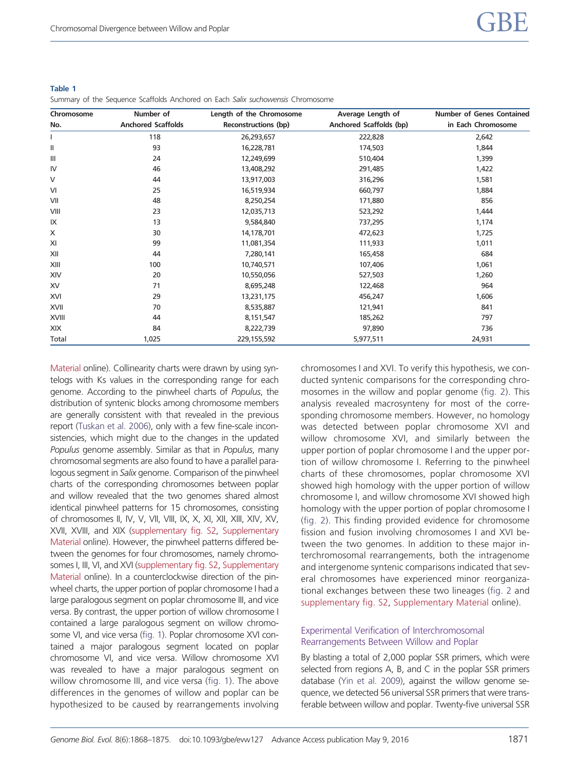<span id="page-3-0"></span>

| Table 1 |  |  |  |  |                                                                                 |  |
|---------|--|--|--|--|---------------------------------------------------------------------------------|--|
|         |  |  |  |  | Summary of the Sequence Scaffolds Anchored on Each Salix suchowensis Chromosome |  |

| Chromosome   | Number of                 | Length of the Chromosome | Average Length of       | <b>Number of Genes Contained</b><br>in Each Chromosome |  |
|--------------|---------------------------|--------------------------|-------------------------|--------------------------------------------------------|--|
| No.          | <b>Anchored Scaffolds</b> | Reconstructions (bp)     | Anchored Scaffolds (bp) |                                                        |  |
|              | 118                       | 26,293,657               | 222,828                 | 2,642                                                  |  |
| $\mathsf{I}$ | 93                        | 16,228,781               | 174,503                 | 1,844                                                  |  |
| Ш            | 24                        | 12,249,699               | 510,404                 | 1,399                                                  |  |
| IV           | 46                        | 13,408,292               | 291,485                 | 1,422                                                  |  |
| V            | 44                        | 13,917,003               | 316,296                 | 1,581                                                  |  |
| VI           | 25                        | 16,519,934               | 660,797                 | 1,884                                                  |  |
| VII          | 48                        | 8,250,254                | 171,880                 | 856                                                    |  |
| VIII         | 23                        | 12,035,713               | 523,292                 | 1,444                                                  |  |
| IX           | 13                        | 9,584,840                | 737,295                 | 1,174                                                  |  |
| X            | 30                        | 14,178,701               | 472,623                 | 1,725                                                  |  |
| XI           | 99                        | 11,081,354               | 111,933                 | 1,011                                                  |  |
| XII          | 44                        | 7,280,141                | 165,458                 | 684                                                    |  |
| XIII         | 100                       | 10,740,571               | 107,406                 | 1,061                                                  |  |
| XIV          | 20                        | 10,550,056               | 527,503                 | 1,260                                                  |  |
| XV           | 71                        | 8,695,248                | 122,468                 | 964                                                    |  |
| XVI          | 29                        | 13,231,175               | 456,247                 | 1,606                                                  |  |
| <b>XVII</b>  | 70                        | 8,535,887                | 121,941                 | 841                                                    |  |
| XVIII        | 44                        | 8,151,547                | 185,262                 | 797                                                    |  |
| XIX          | 84                        | 8,222,739                | 97,890                  | 736                                                    |  |
| Total        | 1,025                     | 229, 155, 592            | 5,977,511               | 24,931                                                 |  |

[Material](http://gbe.oxfordjournals.org/lookup/suppl/doi:10.1093/gbe/evw127/-/DC1) online). Collinearity charts were drawn by using syntelogs with Ks values in the corresponding range for each genome. According to the pinwheel charts of Populus, the distribution of syntenic blocks among chromosome members are generally consistent with that revealed in the previous report ([Tuskan et al. 2006\)](#page-7-0), only with a few fine-scale inconsistencies, which might due to the changes in the updated Populus genome assembly. Similar as that in Populus, many chromosomal segments are also found to have a parallel paralogous segment in Salix genome. Comparison of the pinwheel charts of the corresponding chromosomes between poplar and willow revealed that the two genomes shared almost identical pinwheel patterns for 15 chromosomes, consisting of chromosomes II, IV, V, VII, VIII, IX, X, XI, XII, XIII, XIV, XV, XVII, XVIII, and XIX ([supplementary fig. S2,](http://gbe.oxfordjournals.org/lookup/suppl/doi:10.1093/gbe/evw127/-/DC1) [Supplementary](http://gbe.oxfordjournals.org/lookup/suppl/doi:10.1093/gbe/evw127/-/DC1) [Material](http://gbe.oxfordjournals.org/lookup/suppl/doi:10.1093/gbe/evw127/-/DC1) online). However, the pinwheel patterns differed between the genomes for four chromosomes, namely chromosomes I, III, VI, and XVI [\(supplementary fig. S2,](http://gbe.oxfordjournals.org/lookup/suppl/doi:10.1093/gbe/evw127/-/DC1) [Supplementary](http://gbe.oxfordjournals.org/lookup/suppl/doi:10.1093/gbe/evw127/-/DC1) [Material](http://gbe.oxfordjournals.org/lookup/suppl/doi:10.1093/gbe/evw127/-/DC1) online). In a counterclockwise direction of the pinwheel charts, the upper portion of poplar chromosome I had a large paralogous segment on poplar chromosome III, and vice versa. By contrast, the upper portion of willow chromosome I contained a large paralogous segment on willow chromosome VI, and vice versa [\(fig. 1](#page-4-0)). Poplar chromosome XVI contained a major paralogous segment located on poplar chromosome VI, and vice versa. Willow chromosome XVI was revealed to have a major paralogous segment on willow chromosome III, and vice versa [\(fig. 1](#page-4-0)). The above differences in the genomes of willow and poplar can be hypothesized to be caused by rearrangements involving

chromosomes I and XVI. To verify this hypothesis, we conducted syntenic comparisons for the corresponding chromosomes in the willow and poplar genome ([fig. 2](#page-5-0)). This analysis revealed macrosynteny for most of the corresponding chromosome members. However, no homology was detected between poplar chromosome XVI and willow chromosome XVI, and similarly between the upper portion of poplar chromosome I and the upper portion of willow chromosome I. Referring to the pinwheel charts of these chromosomes, poplar chromosome XVI showed high homology with the upper portion of willow chromosome I, and willow chromosome XVI showed high homology with the upper portion of poplar chromosome I ([fig. 2\)](#page-5-0). This finding provided evidence for chromosome fission and fusion involving chromosomes I and XVI between the two genomes. In addition to these major interchromosomal rearrangements, both the intragenome and intergenome syntenic comparisons indicated that several chromosomes have experienced minor reorganizational exchanges between these two lineages [\(fig. 2](#page-5-0) and [supplementary fig. S2](http://gbe.oxfordjournals.org/lookup/suppl/doi:10.1093/gbe/evw127/-/DC1), [Supplementary Material](http://gbe.oxfordjournals.org/lookup/suppl/doi:10.1093/gbe/evw127/-/DC1) online).

#### Experimental Verification of Interchromosomal Rearrangements Between Willow and Poplar

By blasting a total of 2,000 poplar SSR primers, which were selected from regions A, B, and C in the poplar SSR primers database [\(Yin et al. 2009\)](#page-7-0), against the willow genome sequence, we detected 56 universal SSR primers that were transferable between willow and poplar. Twenty-five universal SSR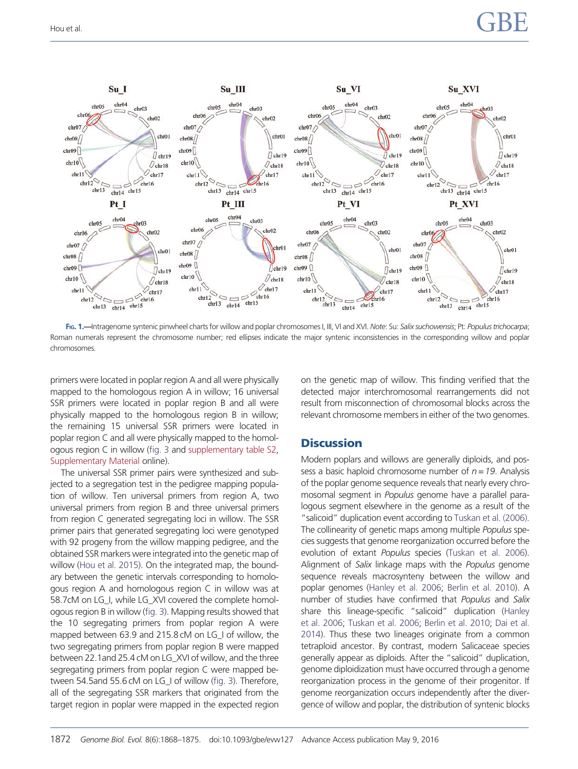<span id="page-4-0"></span>

FIG. 1.—Intragenome syntenic pinwheel charts for willow and poplar chromosomes I, III, VI and XVI. Note: Su: Salix suchowensis; Pt: Populus trichocarpa; Roman numerals represent the chromosome number; red ellipses indicate the major syntenic inconsistencies in the corresponding willow and poplar chromosomes.

primers were located in poplar region A and all were physically mapped to the homologous region A in willow; 16 universal SSR primers were located in poplar region B and all were physically mapped to the homologous region B in willow; the remaining 15 universal SSR primers were located in poplar region C and all were physically mapped to the homologous region C in willow [\(fig. 3](#page-6-0) and [supplementary table S2,](http://gbe.oxfordjournals.org/lookup/suppl/doi:10.1093/gbe/evw127/-/DC1) [Supplementary Material](http://gbe.oxfordjournals.org/lookup/suppl/doi:10.1093/gbe/evw127/-/DC1) online).

The universal SSR primer pairs were synthesized and subjected to a segregation test in the pedigree mapping population of willow. Ten universal primers from region A, two universal primers from region B and three universal primers from region C generated segregating loci in willow. The SSR primer pairs that generated segregating loci were genotyped with 92 progeny from the willow mapping pedigree, and the obtained SSR markers were integrated into the genetic map of willow [\(Hou et al. 2015\)](#page-7-0). On the integrated map, the boundary between the genetic intervals corresponding to homologous region A and homologous region C in willow was at 58.7cM on LG\_I, while LG\_XVI covered the complete homologous region B in willow ([fig. 3](#page-6-0)). Mapping results showed that the 10 segregating primers from poplar region A were mapped between 63.9 and 215.8 cM on LG\_I of willow, the two segregating primers from poplar region B were mapped between 22.1and 25.4 cM on LG\_XVI of willow, and the three segregating primers from poplar region C were mapped between 54.5and 55.6 cM on LG\_I of willow [\(fig. 3](#page-6-0)). Therefore, all of the segregating SSR markers that originated from the target region in poplar were mapped in the expected region on the genetic map of willow. This finding verified that the detected major interchromosomal rearrangements did not result from misconnection of chromosomal blocks across the relevant chromosome members in either of the two genomes.

# **Discussion**

Modern poplars and willows are generally diploids, and possess a basic haploid chromosome number of  $n = 19$ . Analysis of the poplar genome sequence reveals that nearly every chromosomal segment in Populus genome have a parallel paralogous segment elsewhere in the genome as a result of the "salicoid" duplication event according to [Tuskan et al. \(2006\)](#page-7-0). The collinearity of genetic maps among multiple Populus species suggests that genome reorganization occurred before the evolution of extant Populus species [\(Tuskan et al. 2006\)](#page-7-0). Alignment of Salix linkage maps with the Populus genome sequence reveals macrosynteny between the willow and poplar genomes [\(Hanley et al. 2006;](#page-7-0) [Berlin et al. 2010\)](#page-7-0). A number of studies have confirmed that Populus and Salix share this lineage-specific "salicoid" duplication ([Hanley](#page-7-0) [et al. 2006](#page-7-0); [Tuskan et al. 2006;](#page-7-0) [Berlin et al. 2010;](#page-7-0) [Dai et al.](#page-7-0) [2014](#page-7-0)). Thus these two lineages originate from a common tetraploid ancestor. By contrast, modern Salicaceae species generally appear as diploids. After the "salicoid" duplication, genome diploidization must have occurred through a genome reorganization process in the genome of their progenitor. If genome reorganization occurs independently after the divergence of willow and poplar, the distribution of syntenic blocks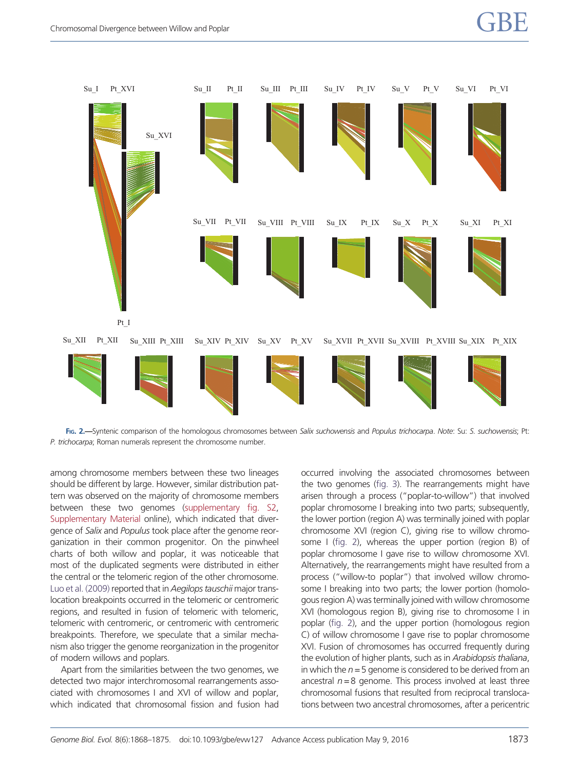<span id="page-5-0"></span>

FIG. 2.-Syntenic comparison of the homologous chromosomes between Salix suchowensis and Populus trichocarpa. Note: Su: S. suchowensis; Pt: P. trichocarpa; Roman numerals represent the chromosome number.

among chromosome members between these two lineages should be different by large. However, similar distribution pattern was observed on the majority of chromosome members between these two genomes [\(supplementary fig. S2,](http://gbe.oxfordjournals.org/lookup/suppl/doi:10.1093/gbe/evw127/-/DC1) [Supplementary Material](http://gbe.oxfordjournals.org/lookup/suppl/doi:10.1093/gbe/evw127/-/DC1) online), which indicated that divergence of Salix and Populus took place after the genome reorganization in their common progenitor. On the pinwheel charts of both willow and poplar, it was noticeable that most of the duplicated segments were distributed in either the central or the telomeric region of the other chromosome. [Luo et al. \(2009\)](#page-7-0) reported that in Aegilops tauschii major translocation breakpoints occurred in the telomeric or centromeric regions, and resulted in fusion of telomeric with telomeric, telomeric with centromeric, or centromeric with centromeric breakpoints. Therefore, we speculate that a similar mechanism also trigger the genome reorganization in the progenitor of modern willows and poplars.

Apart from the similarities between the two genomes, we detected two major interchromosomal rearrangements associated with chromosomes I and XVI of willow and poplar, which indicated that chromosomal fission and fusion had occurred involving the associated chromosomes between the two genomes ([fig. 3](#page-6-0)). The rearrangements might have arisen through a process ("poplar-to-willow") that involved poplar chromosome I breaking into two parts; subsequently, the lower portion (region A) was terminally joined with poplar chromosome XVI (region C), giving rise to willow chromosome I (fig. 2), whereas the upper portion (region B) of poplar chromosome I gave rise to willow chromosome XVI. Alternatively, the rearrangements might have resulted from a process ("willow-to poplar") that involved willow chromosome I breaking into two parts; the lower portion (homologous region A) was terminally joined with willow chromosome XVI (homologous region B), giving rise to chromosome I in poplar (fig. 2), and the upper portion (homologous region C) of willow chromosome I gave rise to poplar chromosome XVI. Fusion of chromosomes has occurred frequently during the evolution of higher plants, such as in Arabidopsis thaliana, in which the  $n = 5$  genome is considered to be derived from an ancestral  $n = 8$  genome. This process involved at least three chromosomal fusions that resulted from reciprocal translocations between two ancestral chromosomes, after a pericentric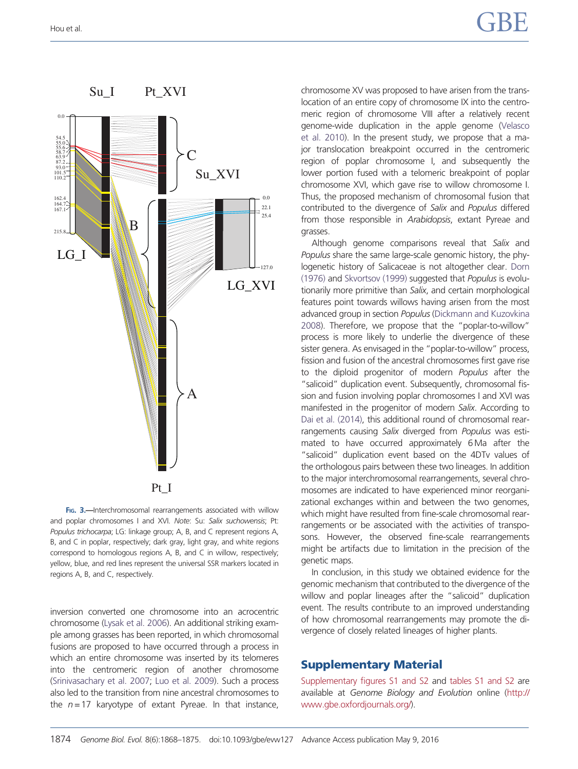<span id="page-6-0"></span>Su\_I Pt\_I Pt\_XVI Su\_XVI 0.0  $22.1$ 25.4  $127.0$ LG\_XVI LG\_I A  $\mathcal{C}$ B 0.0 54.5 55.0 55.6 58.7 63.9 87.2 93.0 101.5 110.2 162.4 164.7 167.1 215.8

FIG. 3.—Interchromosomal rearrangements associated with willow and poplar chromosomes I and XVI. Note: Su: Salix suchowensis; Pt: Populus trichocarpa; LG: linkage group; A, B, and C represent regions A, B, and C in poplar, respectively; dark gray, light gray, and white regions correspond to homologous regions A, B, and C in willow, respectively; yellow, blue, and red lines represent the universal SSR markers located in regions A, B, and C, respectively.

inversion converted one chromosome into an acrocentric chromosome [\(Lysak et al. 2006\)](#page-7-0). An additional striking example among grasses has been reported, in which chromosomal fusions are proposed to have occurred through a process in which an entire chromosome was inserted by its telomeres into the centromeric region of another chromosome [\(Srinivasachary et al. 2007](#page-7-0); [Luo et al. 2009\)](#page-7-0). Such a process also led to the transition from nine ancestral chromosomes to the  $n = 17$  karyotype of extant Pyreae. In that instance, chromosome XV was proposed to have arisen from the translocation of an entire copy of chromosome IX into the centromeric region of chromosome VIII after a relatively recent genome-wide duplication in the apple genome ([Velasco](#page-7-0) [et al. 2010](#page-7-0)). In the present study, we propose that a major translocation breakpoint occurred in the centromeric region of poplar chromosome I, and subsequently the lower portion fused with a telomeric breakpoint of poplar chromosome XVI, which gave rise to willow chromosome I. Thus, the proposed mechanism of chromosomal fusion that contributed to the divergence of Salix and Populus differed from those responsible in Arabidopsis, extant Pyreae and grasses.

Although genome comparisons reveal that Salix and Populus share the same large-scale genomic history, the phylogenetic history of Salicaceae is not altogether clear. [Dorn](#page-7-0) [\(1976\)](#page-7-0) and [Skvortsov \(1999\)](#page-7-0) suggested that Populus is evolutionarily more primitive than Salix, and certain morphological features point towards willows having arisen from the most advanced group in section Populus [\(Dickmann and Kuzovkina](#page-7-0) [2008](#page-7-0)). Therefore, we propose that the "poplar-to-willow" process is more likely to underlie the divergence of these sister genera. As envisaged in the "poplar-to-willow" process, fission and fusion of the ancestral chromosomes first gave rise to the diploid progenitor of modern Populus after the "salicoid" duplication event. Subsequently, chromosomal fission and fusion involving poplar chromosomes I and XVI was manifested in the progenitor of modern Salix. According to [Dai et al. \(2014\)](#page-7-0), this additional round of chromosomal rearrangements causing Salix diverged from Populus was estimated to have occurred approximately 6 Ma after the "salicoid" duplication event based on the 4DTv values of the orthologous pairs between these two lineages. In addition to the major interchromosomal rearrangements, several chromosomes are indicated to have experienced minor reorganizational exchanges within and between the two genomes, which might have resulted from fine-scale chromosomal rearrangements or be associated with the activities of transposons. However, the observed fine-scale rearrangements might be artifacts due to limitation in the precision of the genetic maps.

In conclusion, in this study we obtained evidence for the genomic mechanism that contributed to the divergence of the willow and poplar lineages after the "salicoid" duplication event. The results contribute to an improved understanding of how chromosomal rearrangements may promote the divergence of closely related lineages of higher plants.

### Supplementary Material

[Supplementary figures S1 and S2](http://gbe.oxfordjournals.org/lookup/suppl/doi:10.1093/gbe/evw127/-/DC1) and [tables S1 and S2](http://gbe.oxfordjournals.org/lookup/suppl/doi:10.1093/gbe/evw127/-/DC1) are available at Genome Biology and Evolution online ([http://](http://www.gbe.oxfordjournals.org/) [www.gbe.oxfordjournals.org/](http://www.gbe.oxfordjournals.org/)).